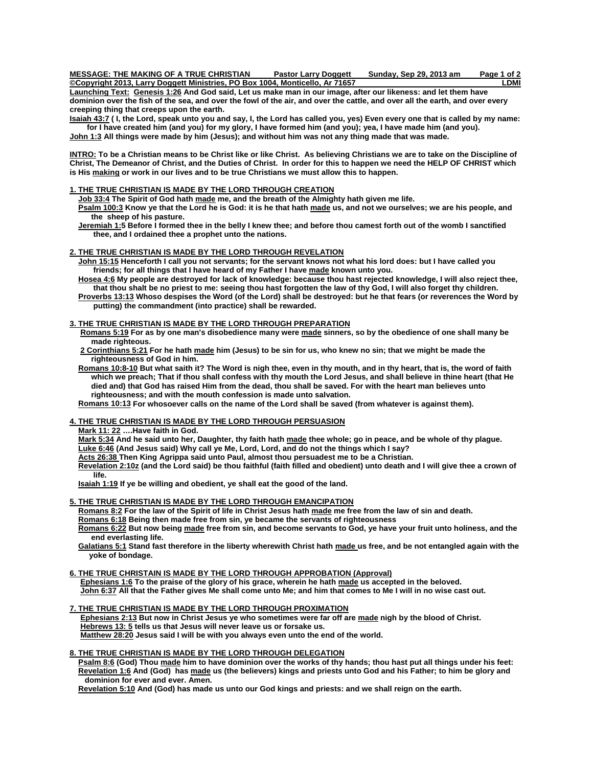**MESSAGE: THE MAKING OF A TRUE CHRISTIAN Pastor Larry Doggett Sunday, Sep 29, 2013 am Page 1 of 2**

**Copyright 2013, Larry Doggett Ministries, PO Box 1004, Monticello, Ar 71657 Launching Text: [Genesis 1:26](http://www.biblegateway.com/passage/?search=Genesis+1:26&version=KJV) And God said, Let us make man in our image, after our likeness: and let them have dominion over the fish of the sea, and over the fowl of the air, and over the cattle, and over all the earth, and over every creeping thing that creeps upon the earth.** 

**[Isaiah 43:7](http://www.biblegateway.com/passage/?search=Isaiah+43:7&version=KJV) ( I, the Lord, speak unto you and say, I, the Lord has called you, yes) Even every one that is called by my name: for I have created him (and you) for my glory, I have formed him (and you); yea, I have made him (and you). [John 1:3](http://www.biblegateway.com/passage/?search=John+1:3&version=KJV) All things were made by him (Jesus); and without him was not any thing made that was made.** 

**INTRO: To be a Christian means to be Christ like or like Christ. As believing Christians we are to take on the Discipline of Christ, The Demeanor of Christ, and the Duties of Christ. In order for this to happen we need the HELP OF CHRIST which is His making or work in our lives and to be true Christians we must allow this to happen.** 

#### **1. THE TRUE CHRISTIAN IS MADE BY THE LORD THROUGH CREATION**

 **[Job 33:4](http://www.biblegateway.com/passage/?search=Job+33:4&version=KJV) The Spirit of God hath made me, and the breath of the Almighty hath given me life. [Psalm 100:3](http://www.biblegateway.com/passage/?search=Psalm+100:3&version=KJV)** Know ye that the Lord he is God: it is he that hath made us, and not we ourselves; we are his people, and  **the sheep of his pasture.** 

 **Jeremiah 1:5 Before I formed thee in the belly I knew thee; and before thou camest forth out of the womb I sanctified thee, and I ordained thee a prophet unto the nations.** 

#### **2. THE TRUE CHRISTIAN IS MADE BY THE LORD THROUGH REVELATION**

 **[John 15:15](http://www.biblegateway.com/passage/?search=John+15:15&version=KJV) Henceforth I call you not servants; for the servant knows not what his lord does: but I have called you friends; for all things that I have heard of my Father I have made known unto you.** 

 **Hosea 4:6 My people are destroyed for lack of knowledge: because thou hast rejected knowledge, I will also reject thee, that thou shalt be no priest to me: seeing thou hast forgotten the law of thy God, I will also forget thy children.** 

 **Proverbs 13:13 Whoso despises the Word (of the Lord) shall be destroyed: but he that fears (or reverences the Word by putting) the commandment (into practice) shall be rewarded.** 

#### **3. THE TRUE CHRISTIAN IS MADE BY THE LORD THROUGH PREPARATION**

 **[Romans 5:19](http://www.biblegateway.com/passage/?search=Romans+5:19&version=KJV) For as by one man's disobedience many were made sinners, so by the obedience of one shall many be made righteous.** 

 **[2 Corinthians 5:21](http://www.biblegateway.com/passage/?search=2%20Corinthians+5:21&version=KJV) For he hath made him (Jesus) to be sin for us, who knew no sin; that we might be made the righteousness of God in him.** 

 **Romans 10:8-10 But what saith it? The Word is nigh thee, even in thy mouth, and in thy heart, that is, the word of faith which we preach; That if thou shall confess with thy mouth the Lord Jesus, and shall believe in thine heart (that He died and) that God has raised Him from the dead, thou shall be saved. For with the heart man believes unto righteousness; and with the mouth confession is made unto salvation.** 

 **Romans 10:13 For whosoever calls on the name of the Lord shall be saved (from whatever is against them).** 

### **4. THE TRUE CHRISTIAN IS MADE BY THE LORD THROUGH PERSUASION**

 **Mark 11: 22 ….Have faith in God.** 

 **[Mark 5:34](http://www.biblegateway.com/passage/?search=Mark+5:34&version=KJV) And he said unto her, Daughter, thy faith hath made thee whole; go in peace, and be whole of thy plague. Luke 6:46 (And Jesus said) Why call ye Me, Lord, Lord, and do not the things which I say?** 

 **Acts 26:38 Then King Agrippa said unto Paul, almost thou persuadest me to be a Christian.** 

 **Revelation 2:10z (and the Lord said) be thou faithful (faith filled and obedient) unto death and I will give thee a crown of life.** 

 **Isaiah 1:19 If ye be willing and obedient, ye shall eat the good of the land.** 

### **5. THE TRUE CHRISTIAN IS MADE BY THE LORD THROUGH EMANCIPATION**

 **[Romans 8:2](http://www.biblegateway.com/passage/?search=Romans+8:2&version=KJV) For the law of the Spirit of life in Christ Jesus hath made me free from the law of sin and death.** 

 **[Romans 6:18](http://www.biblegateway.com/passage/?search=Romans+6:18&version=KJV) Being then made free from sin, ye became the servants of righteousness** 

 **[Romans 6:22](http://www.biblegateway.com/passage/?search=Romans+6:22&version=KJV) But now being made free from sin, and become servants to God, ye have your fruit unto holiness, and the end everlasting life.** 

 **[Galatians 5:1](http://www.biblegateway.com/passage/?search=Galatians+5:1&version=KJV) Stand fast therefore in the liberty wherewith Christ hath made us free, and be not entangled again with the yoke of bondage.** 

**6. THE TRUE CHRISTAIN IS MADE BY THE LORD THROUGH APPROBATION (Approval)**

 **[Ephesians 1:6](http://www.biblegateway.com/passage/?search=Ephesians+1:6&version=KJV) To the praise of the glory of his grace, wherein he hath made us accepted in the beloved. John 6:37 All that the Father gives Me shall come unto Me; and him that comes to Me I will in no wise cast out.** 

#### **7. THE TRUE CHRISTIAN IS MADE BY THE LORD THROUGH PROXIMATION**

 **[Ephesians 2:13](http://www.biblegateway.com/passage/?search=Ephesians+2:13&version=KJV) But now in Christ Jesus ye who sometimes were far off are made nigh by the blood of Christ. Hebrews 13: 5 tells us that Jesus will never leave us or forsake us. Matthew 28:20 Jesus said I will be with you always even unto the end of the world.** 

#### **8. THE TRUE CHRISTIAN IS MADE BY THE LORD THROUGH DELEGATION**

 **[Psalm 8:6](http://www.biblegateway.com/passage/?search=Psalm+8:6&version=KJV) (God) Thou made him to have dominion over the works of thy hands; thou hast put all things under his feet: [Revelation 1:6](http://www.biblegateway.com/passage/?search=Revelation+1:6&version=KJV) And (God) has made us (the believers) kings and priests unto God and his Father; to him be glory and dominion for ever and ever. Amen.** 

 **[Revelation 5:10](http://www.biblegateway.com/passage/?search=Revelation+5:10&version=KJV) And (God) has made us unto our God kings and priests: and we shall reign on the earth.**